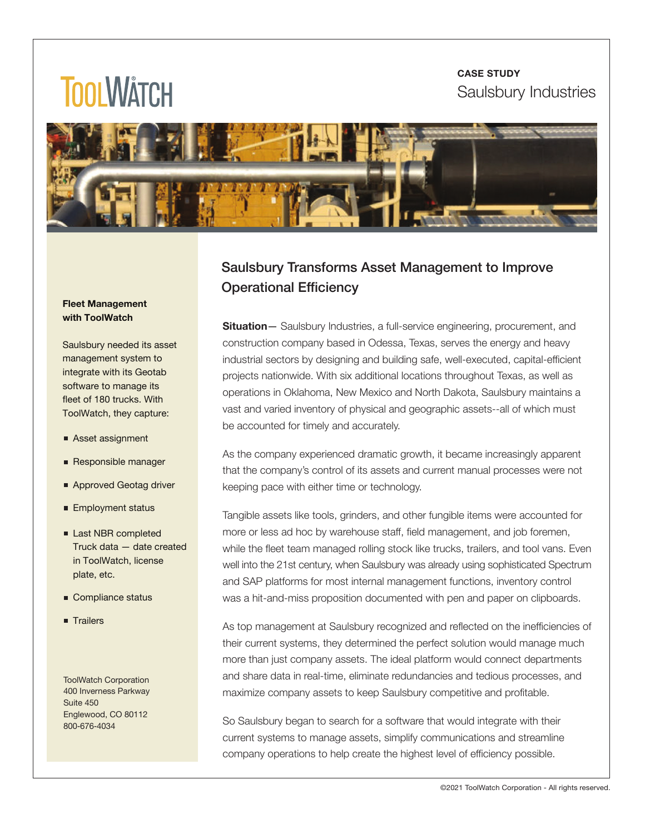#### **CASE STUDY** Saulsbury Industries

# **TOOLWATCH**



#### **Fleet Management with ToolWatch**

Saulsbury needed its asset management system to integrate with its Geotab software to manage its fleet of 180 trucks. With ToolWatch, they capture:

- Asset assignment
- Responsible manager
- Approved Geotag driver
- **Employment status**
- Last NBR completed Truck data — date created in ToolWatch, license plate, etc.
- Compliance status
- **Trailers**

ToolWatch Corporation 400 Inverness Parkway Suite 450 Englewood, CO 80112 800‒676‒4034

### Saulsbury Transforms Asset Management to Improve Operational Efficiency

**Situation** – Saulsbury Industries, a full-service engineering, procurement, and construction company based in Odessa, Texas, serves the energy and heavy industrial sectors by designing and building safe, well-executed, capital-efficient projects nationwide. With six additional locations throughout Texas, as well as operations in Oklahoma, New Mexico and North Dakota, Saulsbury maintains a vast and varied inventory of physical and geographic assets--all of which must be accounted for timely and accurately.

As the company experienced dramatic growth, it became increasingly apparent that the company's control of its assets and current manual processes were not keeping pace with either time or technology.

Tangible assets like tools, grinders, and other fungible items were accounted for more or less ad hoc by warehouse staff, field management, and job foremen, while the fleet team managed rolling stock like trucks, trailers, and tool vans. Even well into the 21st century, when Saulsbury was already using sophisticated Spectrum and SAP platforms for most internal management functions, inventory control was a hit-and-miss proposition documented with pen and paper on clipboards.

As top management at Saulsbury recognized and reflected on the inefficiencies of their current systems, they determined the perfect solution would manage much more than just company assets. The ideal platform would connect departments and share data in real-time, eliminate redundancies and tedious processes, and maximize company assets to keep Saulsbury competitive and profitable.

So Saulsbury began to search for a software that would integrate with their current systems to manage assets, simplify communications and streamline company operations to help create the highest level of efficiency possible.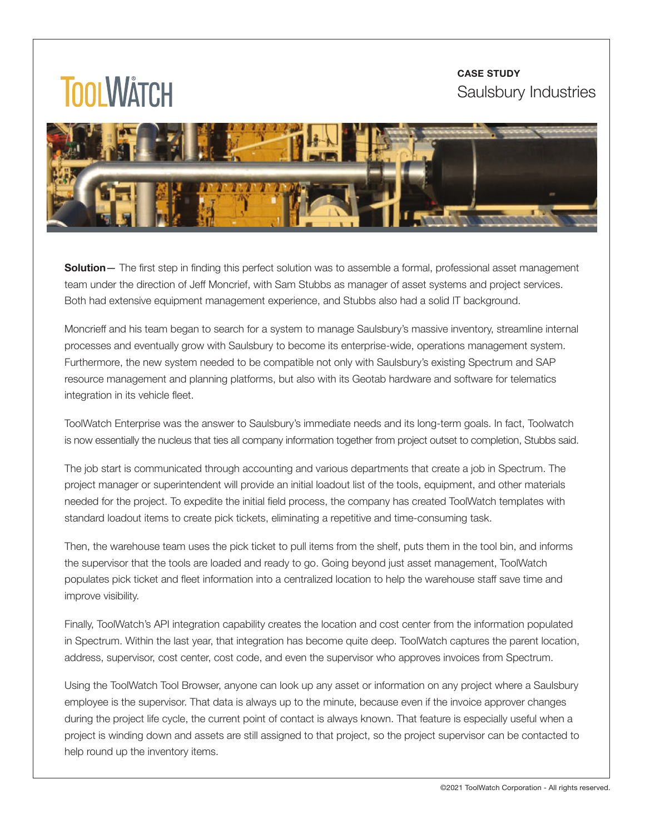#### **CASE STUDY** Saulsbury Industries

## **TOOLWATCH**



**Solution**— The first step in finding this perfect solution was to assemble a formal, professional asset management team under the direction of Jeff Moncrief, with Sam Stubbs as manager of asset systems and project services. Both had extensive equipment management experience, and Stubbs also had a solid IT background.

Moncrieff and his team began to search for a system to manage Saulsbury's massive inventory, streamline internal processes and eventually grow with Saulsbury to become its enterprise-wide, operations management system. Furthermore, the new system needed to be compatible not only with Saulsbury's existing Spectrum and SAP resource management and planning platforms, but also with its Geotab hardware and software for telematics integration in its vehicle fleet.

ToolWatch Enterprise was the answer to Saulsbury's immediate needs and its long-term goals. In fact, Toolwatch is now essentially the nucleus that ties all company information together from project outset to completion, Stubbs said.

The job start is communicated through accounting and various departments that create a job in Spectrum. The project manager or superintendent will provide an initial loadout list of the tools, equipment, and other materials needed for the project. To expedite the initial field process, the company has created ToolWatch templates with standard loadout items to create pick tickets, eliminating a repetitive and time-consuming task.

Then, the warehouse team uses the pick ticket to pull items from the shelf, puts them in the tool bin, and informs the supervisor that the tools are loaded and ready to go. Going beyond just asset management, ToolWatch populates pick ticket and fleet information into a centralized location to help the warehouse staff save time and improve visibility.

Finally, ToolWatch's API integration capability creates the location and cost center from the information populated in Spectrum. Within the last year, that integration has become quite deep. ToolWatch captures the parent location, address, supervisor, cost center, cost code, and even the supervisor who approves invoices from Spectrum.

Using the ToolWatch Tool Browser, anyone can look up any asset or information on any project where a Saulsbury employee is the supervisor. That data is always up to the minute, because even if the invoice approver changes during the project life cycle, the current point of contact is always known. That feature is especially useful when a project is winding down and assets are still assigned to that project, so the project supervisor can be contacted to help round up the inventory items.